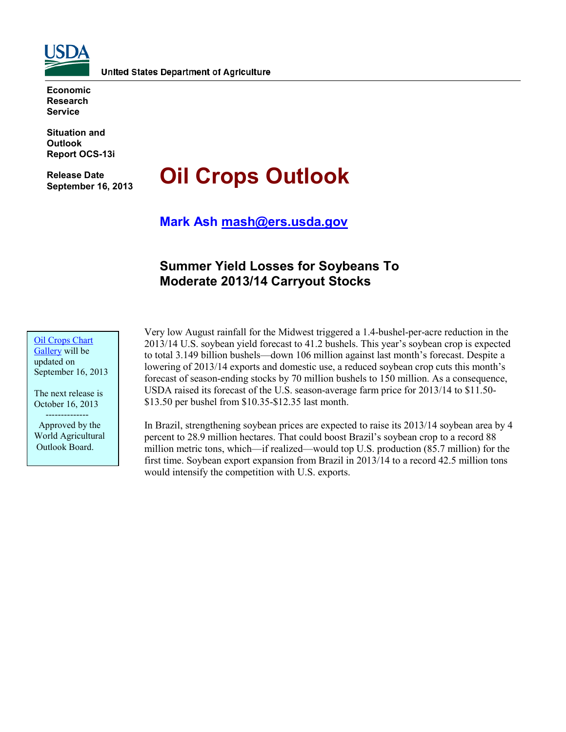

**Economic Research Service**

**Situation and Outlook Report OCS-13i** 

**Release Date September 16, 2013**

# **Oil Crops Outlook**

**Mark Ash [mash@ers.usda.gov](mailto:mash@ers.usda.gov)**

# **Summer Yield Losses for Soybeans To Moderate 2013/14 Carryout Stocks**

**[Oil Crops](http://www.ers.usda.gov/data-products/oil-crops-chart-gallery.aspx) Chart** [Gallery](http://www.ers.usda.gov/data-products/oil-crops-chart-gallery.aspx) will be updated on September 16, 2013

The next release is October 16, 2013 --------------

 Approved by the World Agricultural Outlook Board.

Very low August rainfall for the Midwest triggered a 1.4-bushel-per-acre reduction in the 2013/14 U.S. soybean yield forecast to 41.2 bushels. This year's soybean crop is expected to total 3.149 billion bushels—down 106 million against last month's forecast. Despite a lowering of 2013/14 exports and domestic use, a reduced soybean crop cuts this month's forecast of season-ending stocks by 70 million bushels to 150 million. As a consequence, USDA raised its forecast of the U.S. season-average farm price for 2013/14 to \$11.50- \$13.50 per bushel from \$10.35-\$12.35 last month.

In Brazil, strengthening soybean prices are expected to raise its 2013/14 soybean area by 4 percent to 28.9 million hectares. That could boost Brazil's soybean crop to a record 88 million metric tons, which—if realized—would top U.S. production (85.7 million) for the first time. Soybean export expansion from Brazil in 2013/14 to a record 42.5 million tons would intensify the competition with U.S. exports.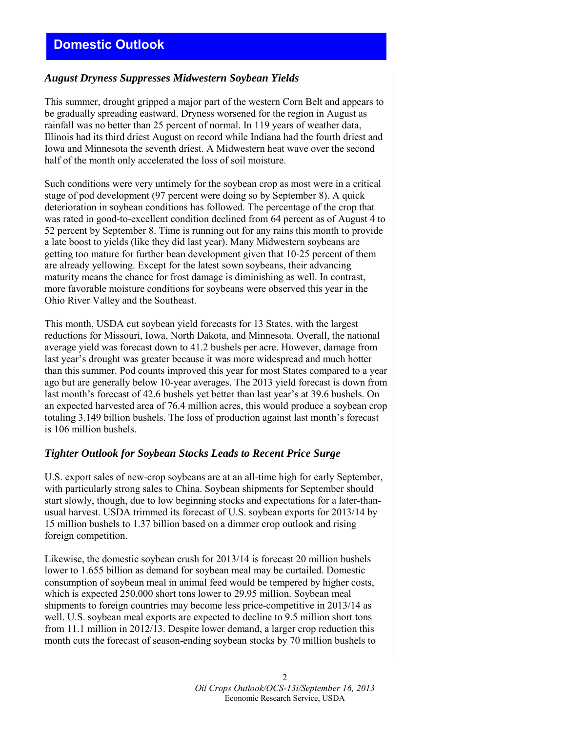## *August Dryness Suppresses Midwestern Soybean Yields*

This summer, drought gripped a major part of the western Corn Belt and appears to be gradually spreading eastward. Dryness worsened for the region in August as rainfall was no better than 25 percent of normal. In 119 years of weather data, Illinois had its third driest August on record while Indiana had the fourth driest and Iowa and Minnesota the seventh driest. A Midwestern heat wave over the second half of the month only accelerated the loss of soil moisture.

Such conditions were very untimely for the soybean crop as most were in a critical stage of pod development (97 percent were doing so by September 8). A quick deterioration in soybean conditions has followed. The percentage of the crop that was rated in good-to-excellent condition declined from 64 percent as of August 4 to 52 percent by September 8. Time is running out for any rains this month to provide a late boost to yields (like they did last year). Many Midwestern soybeans are getting too mature for further bean development given that 10-25 percent of them are already yellowing. Except for the latest sown soybeans, their advancing maturity means the chance for frost damage is diminishing as well. In contrast, more favorable moisture conditions for soybeans were observed this year in the Ohio River Valley and the Southeast.

This month, USDA cut soybean yield forecasts for 13 States, with the largest reductions for Missouri, Iowa, North Dakota, and Minnesota. Overall, the national average yield was forecast down to 41.2 bushels per acre. However, damage from last year's drought was greater because it was more widespread and much hotter than this summer. Pod counts improved this year for most States compared to a year ago but are generally below 10-year averages. The 2013 yield forecast is down from last month's forecast of 42.6 bushels yet better than last year's at 39.6 bushels. On an expected harvested area of 76.4 million acres, this would produce a soybean crop totaling 3.149 billion bushels. The loss of production against last month's forecast is 106 million bushels.

## *Tighter Outlook for Soybean Stocks Leads to Recent Price Surge*

U.S. export sales of new-crop soybeans are at an all-time high for early September, with particularly strong sales to China. Soybean shipments for September should start slowly, though, due to low beginning stocks and expectations for a later-thanusual harvest. USDA trimmed its forecast of U.S. soybean exports for 2013/14 by 15 million bushels to 1.37 billion based on a dimmer crop outlook and rising foreign competition.

Likewise, the domestic soybean crush for 2013/14 is forecast 20 million bushels lower to 1.655 billion as demand for soybean meal may be curtailed. Domestic consumption of soybean meal in animal feed would be tempered by higher costs, which is expected 250,000 short tons lower to 29.95 million. Soybean meal shipments to foreign countries may become less price-competitive in 2013/14 as well. U.S. soybean meal exports are expected to decline to 9.5 million short tons from 11.1 million in 2012/13. Despite lower demand, a larger crop reduction this month cuts the forecast of season-ending soybean stocks by 70 million bushels to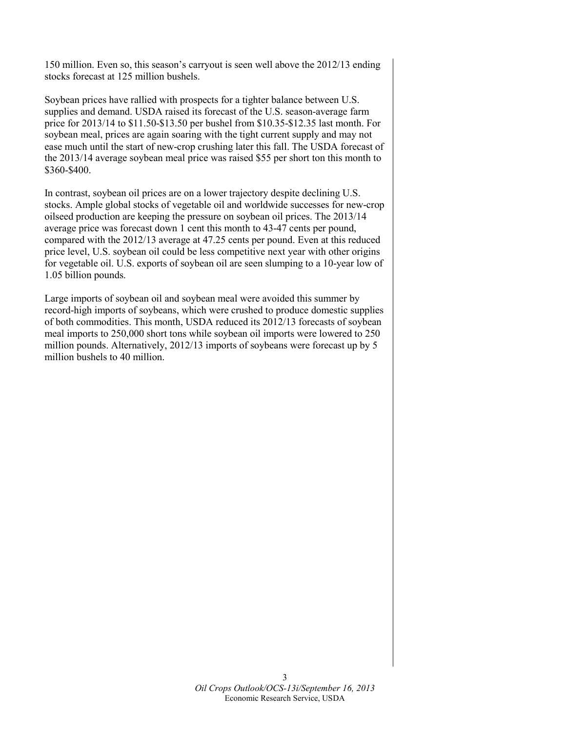150 million. Even so, this season's carryout is seen well above the 2012/13 ending stocks forecast at 125 million bushels.

Soybean prices have rallied with prospects for a tighter balance between U.S. supplies and demand. USDA raised its forecast of the U.S. season-average farm price for 2013/14 to \$11.50-\$13.50 per bushel from \$10.35-\$12.35 last month. For soybean meal, prices are again soaring with the tight current supply and may not ease much until the start of new-crop crushing later this fall. The USDA forecast of the 2013/14 average soybean meal price was raised \$55 per short ton this month to \$360-\$400.

In contrast, soybean oil prices are on a lower trajectory despite declining U.S. stocks. Ample global stocks of vegetable oil and worldwide successes for new-crop oilseed production are keeping the pressure on soybean oil prices. The 2013/14 average price was forecast down 1 cent this month to 43-47 cents per pound, compared with the 2012/13 average at 47.25 cents per pound. Even at this reduced price level, U.S. soybean oil could be less competitive next year with other origins for vegetable oil. U.S. exports of soybean oil are seen slumping to a 10-year low of 1.05 billion pounds.

Large imports of soybean oil and soybean meal were avoided this summer by record-high imports of soybeans, which were crushed to produce domestic supplies of both commodities. This month, USDA reduced its 2012/13 forecasts of soybean meal imports to 250,000 short tons while soybean oil imports were lowered to 250 million pounds. Alternatively, 2012/13 imports of soybeans were forecast up by 5 million bushels to 40 million.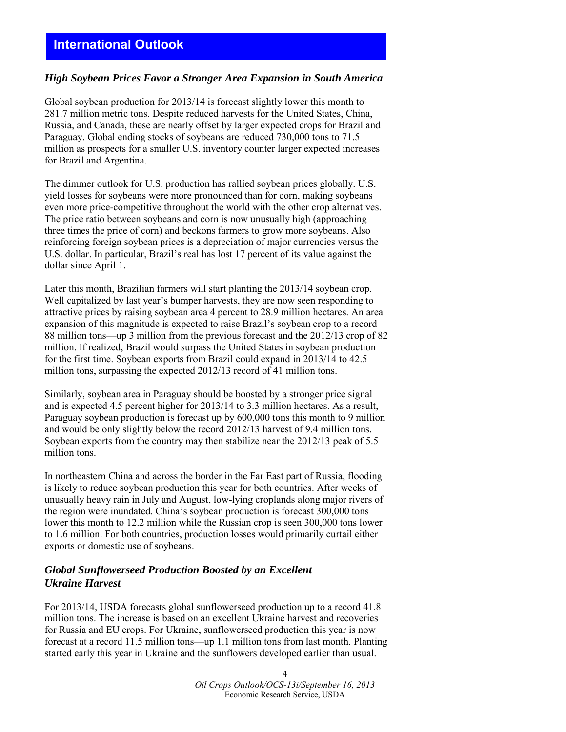## **International Outlook**

#### *High Soybean Prices Favor a Stronger Area Expansion in South America*

Global soybean production for 2013/14 is forecast slightly lower this month to 281.7 million metric tons. Despite reduced harvests for the United States, China, Russia, and Canada, these are nearly offset by larger expected crops for Brazil and Paraguay. Global ending stocks of soybeans are reduced 730,000 tons to 71.5 million as prospects for a smaller U.S. inventory counter larger expected increases for Brazil and Argentina.

The dimmer outlook for U.S. production has rallied soybean prices globally. U.S. yield losses for soybeans were more pronounced than for corn, making soybeans even more price-competitive throughout the world with the other crop alternatives. The price ratio between soybeans and corn is now unusually high (approaching three times the price of corn) and beckons farmers to grow more soybeans. Also reinforcing foreign soybean prices is a depreciation of major currencies versus the U.S. dollar. In particular, Brazil's real has lost 17 percent of its value against the dollar since April 1.

Later this month, Brazilian farmers will start planting the 2013/14 soybean crop. Well capitalized by last year's bumper harvests, they are now seen responding to attractive prices by raising soybean area 4 percent to 28.9 million hectares. An area expansion of this magnitude is expected to raise Brazil's soybean crop to a record 88 million tons—up 3 million from the previous forecast and the 2012/13 crop of 82 million. If realized, Brazil would surpass the United States in soybean production for the first time. Soybean exports from Brazil could expand in 2013/14 to 42.5 million tons, surpassing the expected 2012/13 record of 41 million tons.

Similarly, soybean area in Paraguay should be boosted by a stronger price signal and is expected 4.5 percent higher for 2013/14 to 3.3 million hectares. As a result, Paraguay soybean production is forecast up by 600,000 tons this month to 9 million and would be only slightly below the record 2012/13 harvest of 9.4 million tons. Soybean exports from the country may then stabilize near the 2012/13 peak of 5.5 million tons.

In northeastern China and across the border in the Far East part of Russia, flooding is likely to reduce soybean production this year for both countries. After weeks of unusually heavy rain in July and August, low-lying croplands along major rivers of the region were inundated. China's soybean production is forecast 300,000 tons lower this month to 12.2 million while the Russian crop is seen 300,000 tons lower to 1.6 million. For both countries, production losses would primarily curtail either exports or domestic use of soybeans.

### *Global Sunflowerseed Production Boosted by an Excellent Ukraine Harvest*

For 2013/14, USDA forecasts global sunflowerseed production up to a record 41.8 million tons. The increase is based on an excellent Ukraine harvest and recoveries for Russia and EU crops. For Ukraine, sunflowerseed production this year is now forecast at a record 11.5 million tons—up 1.1 million tons from last month. Planting started early this year in Ukraine and the sunflowers developed earlier than usual.

> 4 *Oil Crops Outlook/OCS-13i/September 16, 2013* Economic Research Service, USDA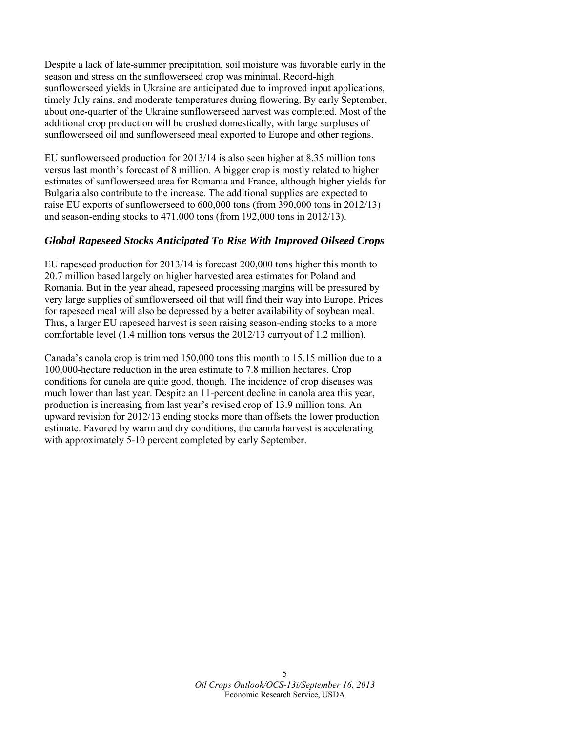Despite a lack of late-summer precipitation, soil moisture was favorable early in the season and stress on the sunflowerseed crop was minimal. Record-high sunflowerseed yields in Ukraine are anticipated due to improved input applications, timely July rains, and moderate temperatures during flowering. By early September, about one-quarter of the Ukraine sunflowerseed harvest was completed. Most of the additional crop production will be crushed domestically, with large surpluses of sunflowerseed oil and sunflowerseed meal exported to Europe and other regions.

EU sunflowerseed production for 2013/14 is also seen higher at 8.35 million tons versus last month's forecast of 8 million. A bigger crop is mostly related to higher estimates of sunflowerseed area for Romania and France, although higher yields for Bulgaria also contribute to the increase. The additional supplies are expected to raise EU exports of sunflowerseed to 600,000 tons (from 390,000 tons in 2012/13) and season-ending stocks to 471,000 tons (from 192,000 tons in 2012/13).

## *Global Rapeseed Stocks Anticipated To Rise With Improved Oilseed Crops*

EU rapeseed production for 2013/14 is forecast 200,000 tons higher this month to 20.7 million based largely on higher harvested area estimates for Poland and Romania. But in the year ahead, rapeseed processing margins will be pressured by very large supplies of sunflowerseed oil that will find their way into Europe. Prices for rapeseed meal will also be depressed by a better availability of soybean meal. Thus, a larger EU rapeseed harvest is seen raising season-ending stocks to a more comfortable level (1.4 million tons versus the 2012/13 carryout of 1.2 million).

Canada's canola crop is trimmed 150,000 tons this month to 15.15 million due to a 100,000-hectare reduction in the area estimate to 7.8 million hectares. Crop conditions for canola are quite good, though. The incidence of crop diseases was much lower than last year. Despite an 11-percent decline in canola area this year, production is increasing from last year's revised crop of 13.9 million tons. An upward revision for 2012/13 ending stocks more than offsets the lower production estimate. Favored by warm and dry conditions, the canola harvest is accelerating with approximately 5-10 percent completed by early September.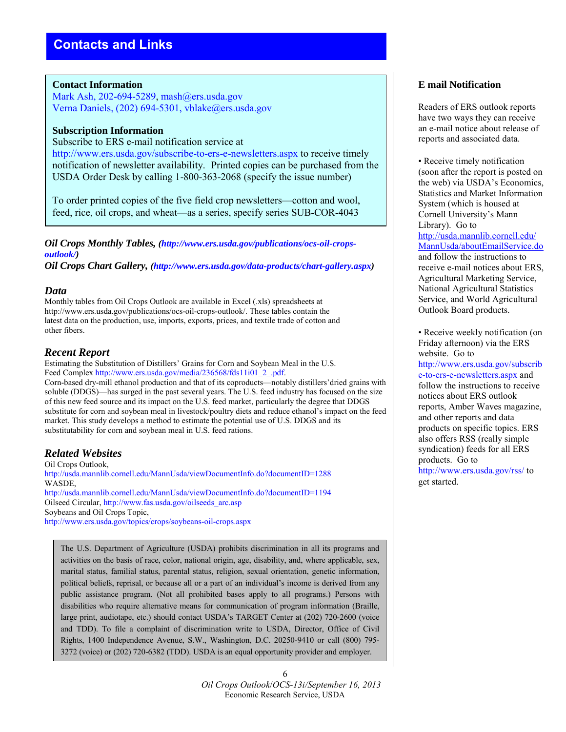#### **Contact Information**

Mark Ash, 202-694-5289, mash@ers.usda.gov Verna Daniels, (202) 694-5301, vblake@ers.usda.gov

#### **Subscription Information**

Subscribe to ERS e-mail notification service at http://www.ers.usda.gov/subscribe-to-ers-e-newsletters.aspx to receive timely notification of newsletter availability. Printed copies can be purchased from the USDA Order Desk by calling 1-800-363-2068 (specify the issue number)

To order printed copies of the five field crop newsletters—cotton and wool, feed, rice, oil crops, and wheat—as a series, specify series SUB-COR-4043

*Oil Crops Monthly Tables, (http://www.ers.usda.gov/publications/ocs-oil-cropsoutlook/)* 

*Oil Crops Chart Gallery, (http://www.ers.usda.gov/data-products/chart-gallery.aspx)* 

#### *Data*

Monthly tables from Oil Crops Outlook are available in Excel (.xls) spreadsheets at http://www.ers.usda.gov/publications/ocs-oil-crops-outlook/. These tables contain the latest data on the production, use, imports, exports, prices, and textile trade of cotton and other fibers.

#### *Recent Report*

Estimating the Substitution of Distillers' Grains for Corn and Soybean Meal in the U.S. Feed Complex http://www.ers.usda.gov/media/236568/fds11i01\_2\_.pdf.

Corn-based dry-mill ethanol production and that of its coproducts—notably distillers'dried grains with soluble (DDGS)—has surged in the past several years. The U.S. feed industry has focused on the size of this new feed source and its impact on the U.S. feed market, particularly the degree that DDGS substitute for corn and soybean meal in livestock/poultry diets and reduce ethanol's impact on the feed market. This study develops a method to estimate the potential use of U.S. DDGS and its substitutability for corn and soybean meal in U.S. feed rations.

## *Related Websites*

Oil Crops Outlook, http://usda.mannlib.cornell.edu/MannUsda/viewDocumentInfo.do?documentID=1288 WASDE, http://usda.mannlib.cornell.edu/MannUsda/viewDocumentInfo.do?documentID=1194 Oilseed Circular, http://www.fas.usda.gov/oilseeds\_arc.asp Soybeans and Oil Crops Topic, http://www.ers.usda.gov/topics/crops/soybeans-oil-crops.aspx

The U.S. Department of Agriculture (USDA) prohibits discrimination in all its programs and activities on the basis of race, color, national origin, age, disability, and, where applicable, sex, marital status, familial status, parental status, religion, sexual orientation, genetic information, political beliefs, reprisal, or because all or a part of an individual's income is derived from any public assistance program. (Not all prohibited bases apply to all programs.) Persons with disabilities who require alternative means for communication of program information (Braille, large print, audiotape, etc.) should contact USDA's TARGET Center at (202) 720-2600 (voice and TDD). To file a complaint of discrimination write to USDA, Director, Office of Civil Rights, 1400 Independence Avenue, S.W., Washington, D.C. 20250-9410 or call (800) 795- 3272 (voice) or (202) 720-6382 (TDD). USDA is an equal opportunity provider and employer.

## **E mail Notification**

Readers of ERS outlook reports have two ways they can receive an e-mail notice about release of reports and associated data.

• Receive timely notification (soon after the report is posted on the web) via USDA's Economics, Statistics and Market Information System (which is housed at Cornell University's Mann Library). Go to [http://usda.mannlib.cornell.edu/](http://usda.mannlib.cornell.edu/MannUsda/aboutEmailService.do) [MannUsda/aboutEmailService.do](http://usda.mannlib.cornell.edu/MannUsda/aboutEmailService.do) and follow the instructions to receive e-mail notices about ERS, Agricultural Marketing Service, National Agricultural Statistics Service, and World Agricultural Outlook Board products.

• Receive weekly notification (on Friday afternoon) via the ERS website. Go to http://www.ers.usda.gov/subscrib e-to-ers-e-newsletters.aspx and follow the instructions to receive notices about ERS outlook reports, Amber Waves magazine, and other reports and data products on specific topics. ERS also offers RSS (really simple syndication) feeds for all ERS products. Go to http://www.ers.usda.gov/rss/ to get started.

6 *Oil Crops Outlook*/*OCS-13i/September 16, 2013* Economic Research Service, USDA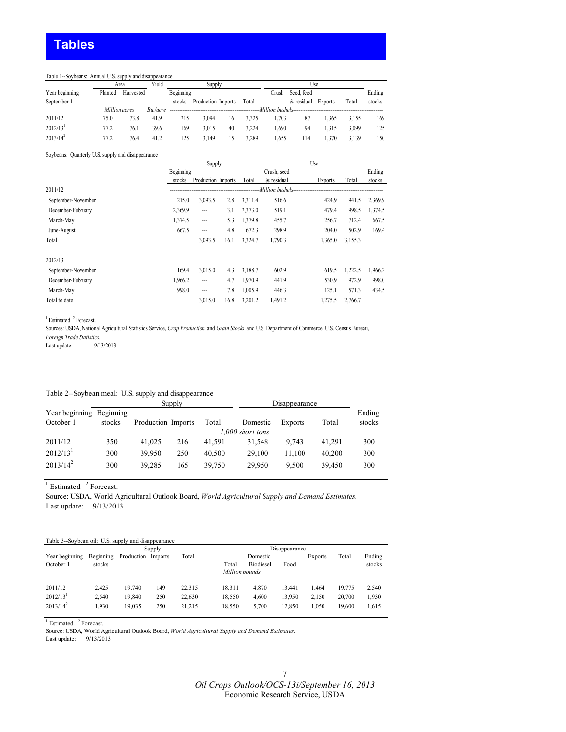#### Table 1--Soybeans: Annual U.S. supply and disappearance

|                        |         | Area          | Yield    | Supply    |                    | Use |       |                      |            |                |       |        |
|------------------------|---------|---------------|----------|-----------|--------------------|-----|-------|----------------------|------------|----------------|-------|--------|
| Year beginning         | Planted | Harvested     |          | Beginning |                    |     |       | Crush                | Seed, feed |                |       | Ending |
| September 1            |         |               |          | stocks    | Production Imports |     | Total |                      | & residual | <b>Exports</b> | Total | stocks |
|                        |         | Million acres | Bu./acre |           |                    |     |       | Million bushels----- |            |                |       |        |
| 2011/12                | 75.0    | 73.8          | 41.9     | 215       | 3.094              | 16  | 3.325 | .703                 | 87         | .365           | 3.155 | 169    |
| $2012/13$ <sup>1</sup> | 77.2    | 76.1          | 39.6     | 169       | 3.015              | 40  | 3.224 | .690                 | 94         | 1.315          | 3.099 | 125    |
| $2013/14^2$            | 77.2    | 76.4          | 41.2     | 125       | 3.149              | 15  | 3.289 | .655                 | 114        | .370           | 3.139 | 150    |

#### Soybeans: Quarterly U.S. supply and disappearance

|                    | Supply    |                    |      |         |                     |                |         |         |
|--------------------|-----------|--------------------|------|---------|---------------------|----------------|---------|---------|
|                    | Beginning |                    |      |         | Crush, seed         |                |         | Ending  |
|                    | stocks    | Production Imports |      | Total   | & residual          | <b>Exports</b> | Total   | stocks  |
| 2011/12            |           |                    |      |         | -Million bushels--- |                |         |         |
| September-November | 215.0     | 3,093.5            | 2.8  | 3,311.4 | 516.6               | 424.9          | 941.5   | 2,369.9 |
| December-February  | 2,369.9   | $\overline{a}$     | 3.1  | 2,373.0 | 519.1               | 479.4          | 998.5   | 1,374.5 |
| March-May          | 1,374.5   | $\overline{a}$     | 5.3  | 1,379.8 | 455.7               | 256.7          | 712.4   | 667.5   |
| June-August        | 667.5     | ---                | 4.8  | 672.3   | 298.9               | 204.0          | 502.9   | 169.4   |
| Total              |           | 3,093.5            | 16.1 | 3,324.7 | 1,790.3             | 1,365.0        | 3,155.3 |         |
| 2012/13            |           |                    |      |         |                     |                |         |         |
| September-November | 169.4     | 3,015.0            | 4.3  | 3,188.7 | 602.9               | 619.5          | 1,222.5 | 1,966.2 |
| December-February  | 1.966.2   | ---                | 4.7  | 1.970.9 | 441.9               | 530.9          | 972.9   | 998.0   |
| March-May          | 998.0     | ---                | 7.8  | 1,005.9 | 446.3               | 125.1          | 571.3   | 434.5   |
| Total to date      |           | 3,015.0            | 16.8 | 3,201.2 | 1,491.2             | 1,275.5        | 2,766.7 |         |

<sup>1</sup> Estimated.<sup>2</sup> Forecast.

Sources: USDA, National Agricultural Statistics Service, *Crop Production* and *Grain Stocks* and U.S. Department of Commerce, U.S. Census Bureau, *Foreign Trade Statistics.*

Last update:

#### Table 2--Soybean meal: U.S. supply and disappearance

|                          |        | Disappearance      |                  |        |          |                |        |        |  |  |  |
|--------------------------|--------|--------------------|------------------|--------|----------|----------------|--------|--------|--|--|--|
| Year beginning Beginning |        |                    |                  |        |          |                |        | Ending |  |  |  |
| October 1                | stocks | Production Imports |                  | Total  | Domestic | <b>Exports</b> | Total  | stocks |  |  |  |
|                          |        |                    | 1.000 short tons |        |          |                |        |        |  |  |  |
| 2011/12                  | 350    | 41.025             | 216              | 41.591 | 31.548   | 9.743          | 41.291 | 300    |  |  |  |
| $2012/13$ <sup>1</sup>   | 300    | 39.950             | 250              | 40.500 | 29.100   | 11.100         | 40.200 | 300    |  |  |  |
| $2013/14^2$              | 300    | 39.285             | 165              | 39.750 | 29,950   | 9.500          | 39,450 | 300    |  |  |  |

 $<sup>1</sup>$  Estimated.  $<sup>2</sup>$  Forecast.</sup></sup>

Source: USDA, World Agricultural Outlook Board, *World Agricultural Supply and Demand Estimates.* Last update: 9/13/2013

## Table 3--Soybean oil: U.S. supply and disappearance Year beginning Beginning Production Imports Total Domestic Exports Total Ending

| Year beginning         | Beginning | Production Imports |     | Total  |                | Domestic         |        | <b>Exports</b> | Total  | Ending |
|------------------------|-----------|--------------------|-----|--------|----------------|------------------|--------|----------------|--------|--------|
| October 1              | stocks    |                    |     |        | Total          | <b>Biodiesel</b> | Food   |                |        | stocks |
|                        |           |                    |     |        | Million pounds |                  |        |                |        |        |
| 2011/12                | 2.425     | 19.740             | 149 | 22.315 | 18.311         | 4.870            | 13.441 | 1.464          | 19.775 | 2.540  |
| $2012/13$ <sup>1</sup> | 2.540     | 19.840             | 250 | 22.630 | 18.550         | 4.600            | 13.950 | 2.150          | 20.700 | 1.930  |
| $2013/14^2$            | 1.930     | 19.035             | 250 | 21.215 | 18.550         | 5.700            | 12.850 | 1.050          | 19.600 | 1,615  |

<sup>1</sup> Estimated. <sup>2</sup> Forecast.

Source: USDA, World Agricultural Outlook Board, *World Agricultural Supply and Demand Estimates.*

Last update: 9/13/2013

Disappearance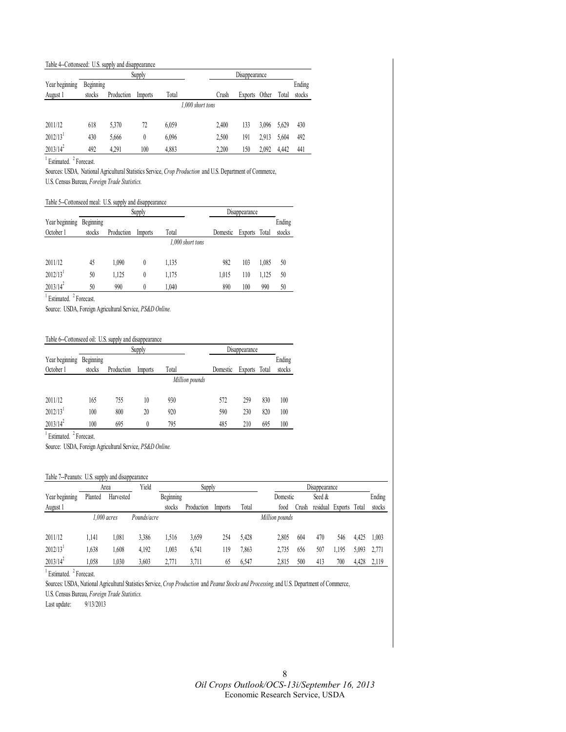#### Table 4--Cottonseed: U.S. supply and disappearance

|                        |           |            | Supply  |       |                  | Disappearance |         |       |       |        |  |
|------------------------|-----------|------------|---------|-------|------------------|---------------|---------|-------|-------|--------|--|
| Year beginning         | Beginning |            |         |       |                  |               |         |       |       | Ending |  |
| August 1               | stocks    | Production | Imports | Total |                  | Crush         | Exports | Other | Total | stocks |  |
|                        |           |            |         |       | 1,000 short tons |               |         |       |       |        |  |
| 2011/12                | 618       | 5,370      | 72      | 6,059 |                  | 2,400         | 133     | 3.096 | 5,629 | 430    |  |
| $2012/13$ <sup>1</sup> | 430       | 5.666      |         | 6,096 |                  | 2,500         | 191     | 2.913 | 5.604 | 492    |  |
| $2013/14^2$            | 492       | 4.291      | 100     | 4,883 |                  | 2.200         | 150     | 2,092 | 4.442 | 441    |  |

<sup>1</sup> Estimated. <sup>2</sup> Forecast.

Sources: USDA*,* National Agricultural Statistics Service, *Crop Production* and U.S. Department of Commerce, U.S. Census Bureau, *Foreign Trade Statistics.*

#### Table 5--Cottonseed meal: U.S. supply and disappearance

|                        |           |            | Supply  |                  | Disappearance |               |       |        |
|------------------------|-----------|------------|---------|------------------|---------------|---------------|-------|--------|
| Year beginning         | Beginning |            |         |                  |               |               |       | Ending |
| October 1              | stocks    | Production | Imports | Total            | Domestic      | Exports Total |       | stocks |
|                        |           |            |         | 1,000 short tons |               |               |       |        |
|                        |           |            |         |                  |               |               |       |        |
| 2011/12                | 45        | 1,090      | 0       | 1,135            | 982           | 103           | 1,085 | 50     |
| $2012/13$ <sup>1</sup> | 50        | 1,125      | 0       | 1,175            | 1,015         | 110           | 1,125 | 50     |
| $2013/14^2$            | 50        | 990        | 0       | 1.040            | 890           | 100           | 990   | 50     |

<sup>1</sup> Estimated.<sup>2</sup> Forecast.

Source: USDA, Foreign Agricultural Service, *PS&D Online.*

#### Table 6--Cottonseed oil: U.S. supply and disappearance

|                |           |            | Supply  |                | Disappearance |                |       |        |
|----------------|-----------|------------|---------|----------------|---------------|----------------|-------|--------|
| Year beginning | Beginning |            |         |                |               |                |       | Ending |
| October 1      | stocks    | Production | Imports | Total          | Domestic      | <b>Exports</b> | Total | stocks |
|                |           |            |         | Million pounds |               |                |       |        |
| 2011/12        | 165       | 755        | 10      | 930            | 572           | 259            | 830   | 100    |
| 2012/13        | 100       | 800        | 20      | 920            | 590           | 230            | 820   | 100    |
| $2013/14^2$    | 100       | 695        |         | 795            | 485           | 210            | 695   | 100    |

<sup>1</sup> Estimated. <sup>2</sup> Forecast.

Source: USDA, Foreign Agricultural Service, *PS&D Online.*

#### Table 7--Peanuts: U.S. supply and disappearance

|                        |         | Area          | Yield       | Supply    |            |         | Disappearance |                |        |          |                |       |        |
|------------------------|---------|---------------|-------------|-----------|------------|---------|---------------|----------------|--------|----------|----------------|-------|--------|
| Year beginning         | Planted | Harvested     |             | Beginning |            |         |               | Domestic       |        | Seed &   |                |       | Ending |
| August 1               |         |               |             | stocks    | Production | Imports | Total         | food           | .)rush | residual | <b>Exports</b> | Total | stocks |
|                        |         | $1.000$ acres | Pounds/acre |           |            |         |               | Million pounds |        |          |                |       |        |
|                        |         |               |             |           |            |         |               |                |        |          |                |       |        |
| 2011/12                | 1.141   | 1.081         | 3,386       | .516      | 3,659      | 254     | 5.428         | 2,805          | 604    | 470      | 546            | 4.425 | 1.003  |
| $2012/13$ <sup>1</sup> | .638    | 1.608         | 4.192       | .003      | 6.741      | 119     | 1.863         | 2,735          | 656    | 507      | .,195          | 5,093 | 2.771  |
| $2013/14^2$            | .058    | 1,030         | 3,603       | 2.771     | 3.711      | 65      | 6,547         | 2,815          | 500    | 413      | 700            | 4.428 | 2.119  |

<sup>1</sup> Estimated. <sup>2</sup> Forecast.

Sources: USDA, National Agricultural Statistics Service, *Crop Production* and *Peanut Stocks and Processing,* and U.S. Department of Commerce,

U.S. Census Bureau, *Foreign Trade Statistics.*

Last update: 9/13/2013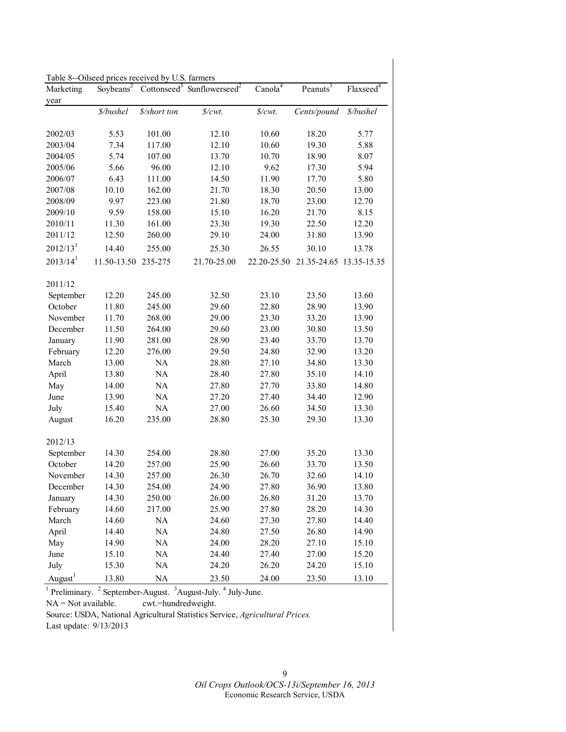| Table 8--Oilseed prices received by U.S. farmers |             |              |                                                                          |                      |                      |                                                 |  |  |  |  |
|--------------------------------------------------|-------------|--------------|--------------------------------------------------------------------------|----------------------|----------------------|-------------------------------------------------|--|--|--|--|
| Marketing                                        |             |              | Soybeans <sup>2</sup> Cottonseed <sup>3</sup> Sunflowerseed <sup>2</sup> | Cano Ia <sup>4</sup> | Peanuts <sup>3</sup> | $Flaxseed$ <sup><math>\overline{4}</math></sup> |  |  |  |  |
| year                                             |             |              |                                                                          |                      |                      |                                                 |  |  |  |  |
|                                                  | \$/bushel   | \$/short ton | $\frac{s}{cm}$ .                                                         | \$/cwt.              | Cents/pound          | \$/bushel                                       |  |  |  |  |
| 2002/03                                          | 5.53        | 101.00       | 12.10                                                                    | 10.60                | 18.20                | 5.77                                            |  |  |  |  |
| 2003/04                                          | 7.34        | 117.00       | 12.10                                                                    | 10.60                | 19.30                | 5.88                                            |  |  |  |  |
| 2004/05                                          | 5.74        | 107.00       | 13.70                                                                    | 10.70                | 18.90                | 8.07                                            |  |  |  |  |
| 2005/06                                          | 5.66        | 96.00        | 12.10                                                                    | 9.62                 | 17.30                | 5.94                                            |  |  |  |  |
| 2006/07                                          | 6.43        | 111.00       | 14.50                                                                    | 11.90                | 17.70                | 5.80                                            |  |  |  |  |
| 2007/08                                          | 10.10       | 162.00       | 21.70                                                                    | 18.30                | 20.50                | 13.00                                           |  |  |  |  |
| 2008/09                                          | 9.97        | 223.00       | 21.80                                                                    | 18.70                | 23.00                | 12.70                                           |  |  |  |  |
| 2009/10                                          | 9.59        | 158.00       | 15.10                                                                    | 16.20                | 21.70                | 8.15                                            |  |  |  |  |
| 2010/11                                          | 11.30       | 161.00       | 23.30                                                                    | 19.30                | 22.50                | 12.20                                           |  |  |  |  |
| 2011/12                                          | 12.50       | 260.00       | 29.10                                                                    | 24.00                | 31.80                | 13.90                                           |  |  |  |  |
| 2012/13 <sup>1</sup>                             | 14.40       | 255.00       | 25.30                                                                    | 26.55                | 30.10                | 13.78                                           |  |  |  |  |
| $2013/14$ <sup>1</sup>                           | 11.50-13.50 | 235-275      | 21.70-25.00                                                              | 22.20-25.50          | 21.35-24.65          | 13.35-15.35                                     |  |  |  |  |
| 2011/12                                          |             |              |                                                                          |                      |                      |                                                 |  |  |  |  |
| September                                        | 12.20       | 245.00       | 32.50                                                                    | 23.10                | 23.50                | 13.60                                           |  |  |  |  |
| October                                          | 11.80       | 245.00       | 29.60                                                                    | 22.80                | 28.90                | 13.90                                           |  |  |  |  |
| November                                         | 11.70       | 268.00       | 29.00                                                                    | 23.30                | 33.20                | 13.90                                           |  |  |  |  |
| December                                         | 11.50       | 264.00       | 29.60                                                                    | 23.00                | 30.80                | 13.50                                           |  |  |  |  |
| January                                          | 11.90       | 281.00       | 28.90                                                                    | 23.40                | 33.70                | 13.70                                           |  |  |  |  |
| February                                         | 12.20       | 276.00       | 29.50                                                                    | 24.80                | 32.90                | 13.20                                           |  |  |  |  |
| March                                            | 13.00       | <b>NA</b>    | 28.80                                                                    | 27.10                | 34.80                | 13.30                                           |  |  |  |  |
| April                                            | 13.80       | <b>NA</b>    | 28.40                                                                    | 27.80                | 35.10                | 14.10                                           |  |  |  |  |
| May                                              | 14.00       | <b>NA</b>    | 27.80                                                                    | 27.70                | 33.80                | 14.80                                           |  |  |  |  |
| June                                             | 13.90       | <b>NA</b>    | 27.20                                                                    | 27.40                | 34.40                | 12.90                                           |  |  |  |  |
| July                                             | 15.40       | <b>NA</b>    | 27.00                                                                    | 26.60                | 34.50                | 13.30                                           |  |  |  |  |
| August                                           | 16.20       | 235.00       | 28.80                                                                    | 25.30                | 29.30                | 13.30                                           |  |  |  |  |
| 2012/13                                          |             |              |                                                                          |                      |                      |                                                 |  |  |  |  |
| September                                        | 14.30       | 254.00       | 28.80                                                                    | 27.00                | 35.20                | 13.30                                           |  |  |  |  |
| October                                          | 14.20       | 257.00       | 25.90                                                                    | 26.60                | 33.70                | 13.50                                           |  |  |  |  |
| November                                         | 14.30       | 257.00       | 26.30                                                                    | 26.70                | 32.60                | 14.10                                           |  |  |  |  |
| December                                         | 14.30       | 254.00       | 24.90                                                                    | 27.80                | 36.90                | 13.80                                           |  |  |  |  |
| January                                          | 14.30       | 250.00       | 26.00                                                                    | 26.80                | 31.20                | 13.70                                           |  |  |  |  |
| February                                         | 14.60       | 217.00       | 25.90                                                                    | 27.80                | 28.20                | 14.30                                           |  |  |  |  |
| March                                            | 14.60       | NA           | 24.60                                                                    | 27.30                | 27.80                | 14.40                                           |  |  |  |  |
| April                                            | 14.40       | NA           | 24.80                                                                    | 27.50                | 26.80                | 14.90                                           |  |  |  |  |
| May                                              | 14.90       | NA           | 24.00                                                                    | 28.20                | 27.10                | 15.10                                           |  |  |  |  |
| June                                             | 15.10       | $\rm NA$     | 24.40                                                                    | 27.40                | 27.00                | 15.20                                           |  |  |  |  |
| July                                             | 15.30       | $\rm NA$     | 24.20                                                                    | 26.20                | 24.20                | 15.10                                           |  |  |  |  |
| August <sup>1</sup>                              | 13.80       | NA           | 23.50                                                                    | 24.00                | 23.50                | 13.10                                           |  |  |  |  |

 $<sup>1</sup>$  Preliminary.  $<sup>2</sup>$  September-August.  $<sup>3</sup>$  August-July.  $<sup>4</sup>$  July-June.</sup></sup></sup></sup>

NA = Not available. cwt.=hundredweight.

Source: USDA, National Agricultural Statistics Service, *Agricultural Prices.* 

Last update: 9/13/2013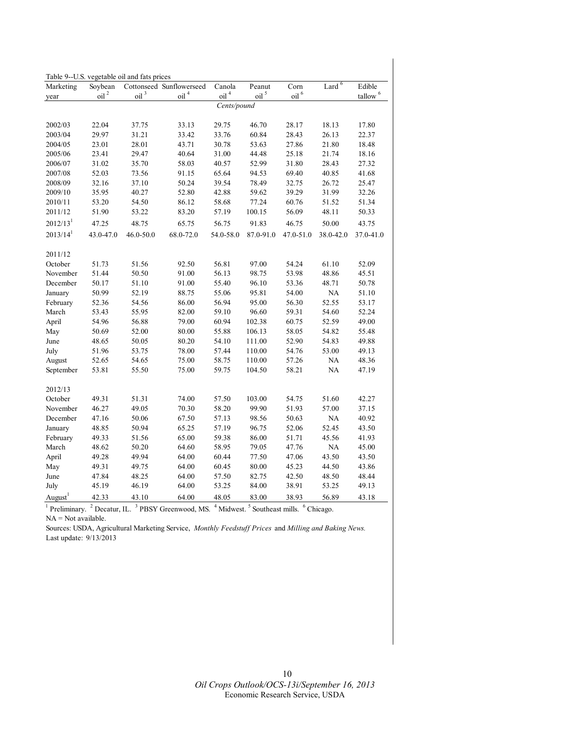|                      | Table 9--U.S. vegetable oil and fats prices |                  |                          |                  |                                   |                                |                       |                     |  |  |
|----------------------|---------------------------------------------|------------------|--------------------------|------------------|-----------------------------------|--------------------------------|-----------------------|---------------------|--|--|
| Marketing            | Soybean                                     |                  | Cottonseed Sunflowerseed | Canola           | Peanut                            | Corn                           | Lard $6$              | Edible              |  |  |
| year                 | oil <sup>2</sup>                            | oil <sup>3</sup> | oil <sup>4</sup>         | oil <sup>4</sup> | oil <sup>5</sup>                  | $\overline{0}$ il <sup>6</sup> |                       | tallow <sup>6</sup> |  |  |
|                      |                                             |                  |                          | Cents/pound      |                                   |                                |                       |                     |  |  |
| 2002/03              | 22.04                                       | 37.75            | 33.13                    | 29.75            | 46.70                             | 28.17                          | 18.13                 | 17.80               |  |  |
| 2003/04              | 29.97                                       | 31.21            | 33.42                    | 33.76            | 60.84                             | 28.43                          | 26.13                 | 22.37               |  |  |
| 2004/05              | 23.01                                       | 28.01            | 43.71                    | 30.78            | 53.63                             | 27.86                          | 21.80                 | 18.48               |  |  |
| 2005/06              | 23.41                                       | 29.47            | 40.64                    | 31.00            | 44.48                             | 25.18                          | 21.74                 | 18.16               |  |  |
| 2006/07              | 31.02                                       | 35.70            | 58.03                    | 40.57            | 52.99                             | 31.80                          | 28.43                 | 27.32               |  |  |
| 2007/08              | 52.03                                       | 73.56            | 91.15                    | 65.64            | 94.53                             | 69.40                          | 40.85                 | 41.68               |  |  |
| 2008/09              | 32.16                                       | 37.10            | 50.24                    | 39.54            | 78.49                             | 32.75                          | 26.72                 | 25.47               |  |  |
| 2009/10              | 35.95                                       | 40.27            | 52.80                    | 42.88            | 59.62                             | 39.29                          | 31.99                 | 32.26               |  |  |
| 2010/11              | 53.20                                       | 54.50            | 86.12                    | 58.68            | 77.24                             | 60.76                          | 51.52                 | 51.34               |  |  |
| 2011/12              | 51.90                                       | 53.22            | 83.20                    | 57.19            | 100.15                            | 56.09                          | 48.11                 | 50.33               |  |  |
| 2012/13 <sup>1</sup> | 47.25                                       | 48.75            | 65.75                    | 56.75            | 91.83                             | 46.75                          | 50.00                 | 43.75               |  |  |
| $2013/14^{1}$        | 43.0-47.0                                   | 46.0-50.0        | 68.0-72.0                | 54.0-58.0        | 87.0-91.0                         | 47.0-51.0                      | 38.0-42.0             | 37.0-41.0           |  |  |
| 2011/12              |                                             |                  |                          |                  |                                   |                                |                       |                     |  |  |
| October              | 51.73                                       | 51.56            | 92.50                    | 56.81            | 97.00                             | 54.24                          | 61.10                 | 52.09               |  |  |
| November             | 51.44                                       | 50.50            | 91.00                    | 56.13            | 98.75                             | 53.98                          | 48.86                 | 45.51               |  |  |
| December             | 50.17                                       | 51.10            | 91.00                    | 55.40            | 96.10                             | 53.36                          | 48.71                 | 50.78               |  |  |
| January              | 50.99                                       | 52.19            | 88.75                    | 55.06            | 95.81                             | 54.00                          | <b>NA</b>             | 51.10               |  |  |
| February             | 52.36                                       | 54.56            | 86.00                    | 56.94            | 95.00                             | 56.30                          | 52.55                 | 53.17               |  |  |
| March                | 53.43                                       | 55.95            | 82.00                    | 59.10            | 96.60                             | 59.31                          | 54.60                 | 52.24               |  |  |
| April                | 54.96                                       | 56.88            | 79.00                    | 60.94            | 102.38                            | 60.75                          | 52.59                 | 49.00               |  |  |
| May                  | 50.69                                       | 52.00            | 80.00                    | 55.88            | 106.13                            | 58.05                          | 54.82                 | 55.48               |  |  |
| June                 | 48.65                                       | 50.05            | 80.20                    | 54.10            | 111.00                            | 52.90                          | 54.83                 | 49.88               |  |  |
| July                 | 51.96                                       | 53.75            | 78.00                    | 57.44            | 110.00                            | 54.76                          | 53.00                 | 49.13               |  |  |
| August               | 52.65                                       | 54.65            | 75.00                    | 58.75            | 110.00                            | 57.26                          | NA.                   | 48.36               |  |  |
| September            | 53.81                                       | 55.50            | 75.00                    | 59.75            | 104.50                            | 58.21                          | <b>NA</b>             | 47.19               |  |  |
| 2012/13              |                                             |                  |                          |                  |                                   |                                |                       |                     |  |  |
| October              | 49.31                                       | 51.31            | 74.00                    | 57.50            | 103.00                            | 54.75                          | 51.60                 | 42.27               |  |  |
| November             | 46.27                                       | 49.05            | 70.30                    | 58.20            | 99.90                             | 51.93                          | 57.00                 | 37.15               |  |  |
| December             | 47.16                                       | 50.06            | 67.50                    | 57.13            | 98.56                             | 50.63                          | NA                    | 40.92               |  |  |
|                      | 48.85                                       | 50.94            | 65.25                    | 57.19            | 96.75                             | 52.06                          | 52.45                 | 43.50               |  |  |
| January<br>February  | 49.33                                       | 51.56            | 65.00                    | 59.38            | 86.00                             | 51.71                          | 45.56                 | 41.93               |  |  |
| March                |                                             | 50.20            |                          |                  |                                   | 47.76                          | NA                    |                     |  |  |
| April                | 48.62<br>49.28                              | 49.94            | 64.60<br>64.00           | 58.95<br>60.44   | 79.05<br>77.50                    | 47.06                          | 43.50                 | 45.00<br>43.50      |  |  |
|                      |                                             | 49.75            |                          |                  |                                   |                                |                       |                     |  |  |
| May                  | 49.31                                       |                  | 64.00                    | 60.45            | 80.00                             | 45.23                          | 44.50                 | 43.86               |  |  |
| June                 | 47.84                                       | 48.25            | 64.00                    | 57.50            | 82.75                             | 42.50                          | 48.50                 | 48.44               |  |  |
| July                 | 45.19                                       | 46.19            | 64.00                    | 53.25            | 84.00                             | 38.91                          | 53.25                 | 49.13               |  |  |
| August $1$           | 42.33                                       | 43.10<br>3       | 64.00                    | 48.05            | 83.00                             | 38.93                          | 56.89                 | 43.18               |  |  |
| $1$ Preliminary.     | $2$ Decatur, IL.                            |                  | PBSY Greenwood, MS.      |                  | $4$ Midwest. $5$ Southeast mills. |                                | <sup>6</sup> Chicago. |                     |  |  |

 $NA = Not available.$ 

Sources: USDA, Agricultural Marketing Service, *Monthly Feedstuff Prices* and *Milling and Baking News.*  Last update: 9/13/2013